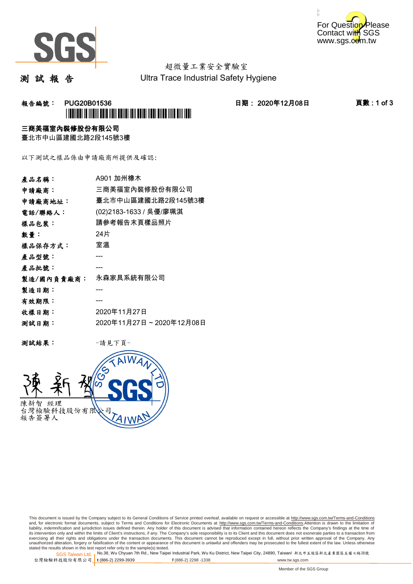



# 超微量工業安全實驗室

測 試 報 告

Ultra Trace Industrial Safety Hygiene

### 報告編號: PUG20B01536 日期: 2020年12月08日 頁數 : 1 of 3 \*PUG20B01536\*

#### 三商美福室內裝修股份有限公司

臺北市中山區建國北路2段145號3樓

以下測試之樣品係由申請廠商所提供及確認:

| 產品名稱:      | A901 加州橡木               |
|------------|-------------------------|
| 申請廠商:      | 三商美福室內裝修股份有限公司          |
| 申請廠商地址:    | 臺北市中山區建國北路2段145號3樓      |
| 電話/聯絡人:    | (02)2183-1633 / 吳優/廖珮淇  |
| 樣品包裝:      | 請參考報告末頁樣品照片             |
| 數量:        | 24片                     |
| 樣品保存方式:    | 室溫                      |
| 產品型號:      |                         |
| 產品批號:      |                         |
| 製造/國內負責廠商: | 永森家具系統有限公司              |
| 製造日期:      |                         |
| 有效期限:      |                         |
| 收樣日期:      | 2020年11月27日             |
| 测試日期:      | 2020年11月27日~2020年12月08日 |
|            |                         |

测試結果: 一請見下頁



This document is issued by the Company subject to its General Conditions of Service printed overleaf, available on request or accessible at http://www.sgs.com.tw/Terms-and-Conditions and, for electronic format documents, subject to Terms and Conditions for Electronic Documents at <u>http://www.sgs.com.tw/Terms-and-Conditions</u>.Attention is drawn to the limitation of<br>liability, indemnification and jurisdic exercising all their rights and obligations under the transaction documents. This document cannot be reproduced except in full, without prior written approval of the Company. Any<br>unauthorized alteration, forgery or falsifi

SGS Taiwan Ltd. 1 stated the results shown in this test report refer only to the sample(s) tested.<br>Stated the results shown in this test report refer only to the sample(s) tested.

台灣檢驗科技股份有限公司

**t** (886-2) 2299-3939 **f** (886-2) 2298 -1338 www.tw.sgs.com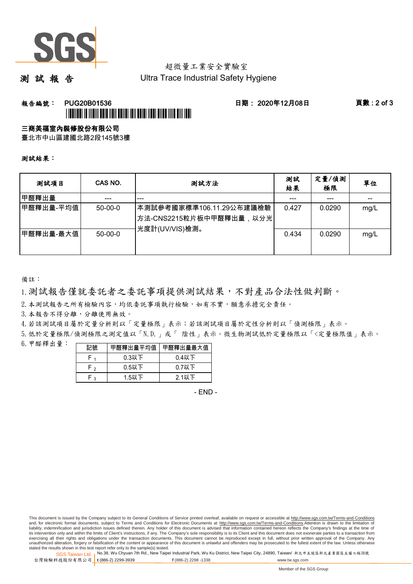

# 超微量工業安全實驗室

測 試 報 告

Ultra Trace Industrial Safety Hygiene

### **報告編號: PUG20B01536 日期: 2020年12月08日 頁數:2 of 3** \*PUG20B01536\*

#### 三商美福室內裝修股份有限公司

臺北市中山區建國北路2段145號3樓

測試結果:

| 测試項目      | CAS NO.   | 测試方法                                                                     | 測試<br>結果 | 定量/偵測<br>極限 | 單位   |
|-----------|-----------|--------------------------------------------------------------------------|----------|-------------|------|
| 甲醛釋出量     |           | ---                                                                      |          |             |      |
| 甲醛釋出量-平均值 | $50-00-0$ | ┃本測試參考國家標準106.11.29公布建議檢驗<br>│方法-CNS2215粒片板中甲醛釋出量,以分光│<br>光度計(UV/VIS)檢測。 | 0.427    | 0.0290      | mg/L |
| 甲醛釋出量-最大值 | $50-00-0$ |                                                                          | 0.434    | 0.0290      | mg/L |

備註:

1.測試報告僅就委託者之委託事項提供測試結果,不對產品合法性做判斷。

2.本測試報告之所有檢驗內容,均依委託事項執行檢驗,如有不實,願意承擔完全責任。

3. 本報告不得分離,分離使用無效。

4.若該測試項目屬於定量分析則以「定量極限」表示;若該測試項目屬於定性分析則以「偵測極限」表示。

5.低於定量極限/偵測極限之測定值以「N.D.」或「 陰性」表示。微生物測試低於定量極限以「<定量極限值」表示。

6.甲醛釋出量:

|                | 甲醛釋出量平均值丨 | 甲醛釋出量最大值 |  |  |
|----------------|-----------|----------|--|--|
|                | $0.3$ 以下  | $0.4$ 以下 |  |  |
| ໍ່             | $0.5$ 以下  | $0.7$ 以下 |  |  |
| $\overline{ }$ | $1.5$ 以下  | 2.1以下    |  |  |

- END -

SGS Taiwan Ltd. 1 stated the results shown in this test report refer only to the sample(s) tested.<br>Stated the results shown in this test report refer only to the sample(s) tested.

台灣檢驗科技股份有限公司

**t** (886-2) 2299-3939 **f** (886-2) 2298 -1338 www.tw.sgs.com

This document is issued by the Company subject to its General Conditions of Service printed overleaf, available on request or accessible at http://www.sgs.com.tw/Terms-and-Conditions and, for electronic format documents, subject to Terms and Conditions for Electronic Documents at http://www.sgs.com.tw/Terms-and-Conditions.Attention is drawn to the limitation of liability, indemnification and jurisdiction issues defined therein. Any holder of this document is advised that information contained hereon reflects the Company's findings at the time of<br>its intervention only and within t exercising all their rights and obligations under the transaction documents. This document cannot be reproduced except in full, without prior written approval of the Company. Any<br>unauthorized alteration, forgery or falsifi